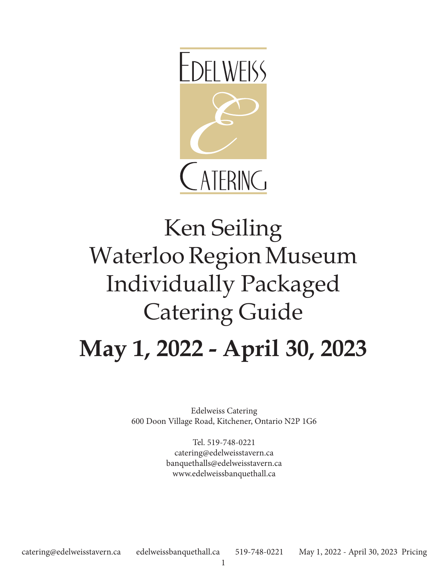

## Ken Seiling Waterloo Region Museum Individually Packaged Catering Guide **May 1, 2022 - April 30, 2023**

Edelweiss Catering 600 Doon Village Road, Kitchener, Ontario N2P 1G6

> Tel. 519-748-0221 catering@edelweisstavern.ca banquethalls@edelweisstavern.ca www.edelweissbanquethall.ca

catering@edelweisstavern.ca edelweissbanquethall.ca 519-748-0221 May 1, 2022 - April 30, 2023 Pricing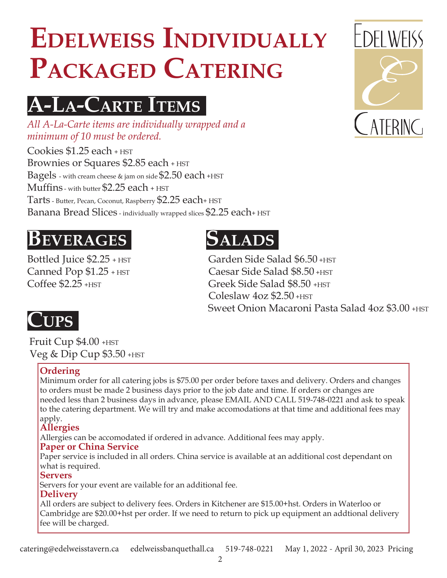# **Edelweiss Individually** PACKAGED CATERING

## **AA-LLa-Carte Items**

*All A-La-Carte items are individually wrapped and a minimum of 10 must be ordered.*

Cookies \$1.25 each + HST Brownies or Squares \$2.85 each + HST Bagels - with cream cheese & jam on side\$2.50 each +HST Muffins - with butter \$2.25 each + HST Tarts - Butter, Pecan, Coconut, Raspberry \$2.25 each+ HST Banana Bread Slices - individually wrapped slices \$2.25 each+ HST

## **Beverages**

Bottled Juice \$2.25 + HST Canned Pop \$1.25 + HST Coffee \$2.25 +HST

## **Salads**

Garden Side Salad \$6.50 +HST Caesar Side Salad \$8.50 +HST Greek Side Salad \$8.50 +HST Coleslaw 4oz \$2.50 +HST Sweet Onion Macaroni Pasta Salad 4oz \$3.00 + HST

## **Cups**

Fruit Cup  $$4.00+$ HST Veg & Dip Cup \$3.50 +HST

#### **Ordering**

Minimum order for all catering jobs is \$75.00 per order before taxes and delivery. Orders and changes to orders must be made 2 business days prior to the job date and time. If orders or changes are needed less than 2 business days in advance, please EMAIL AND CALL 519-748-0221 and ask to speak to the catering department. We will try and make accomodations at that time and additional fees may apply.

#### **Allergies**

Allergies can be accomodated if ordered in advance. Additional fees may apply.

#### **Paper or China Service**

Paper service is included in all orders. China service is available at an additional cost dependant on what is required.

#### **Servers**

Servers for your event are vailable for an additional fee.

#### **Delivery**

All orders are subject to delivery fees. Orders in Kitchener are \$15.00+hst. Orders in Waterloo or Cambridge are \$20.00+hst per order. If we need to return to pick up equipment an addtional delivery fee will be charged.

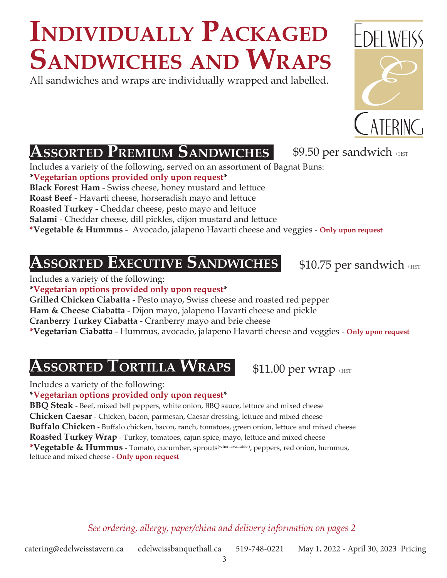# **Sandwiches and Wraps Individually Packaged**

All sandwiches and wraps are individually wrapped and labelled.



Includes a variety of the following, served on an assortment of Bagnat Buns:

**\*Vegetarian options provided only upon request\***

**Black Forest Ham** - Swiss cheese, honey mustard and lettuce

**Roast Beef** - Havarti cheese, horseradish mayo and lettuce

**Roasted Turkey** - Cheddar cheese, pesto mayo and lettuce

**Salami** - Cheddar cheese, dill pickles, dijon mustard and lettuce

**\*Vegetable & Hummus** - Avocado, jalapeno Havarti cheese and veggies - **Only upon request**

## **ABSORTED EXECUTIVE SANDWICHES** \$10.75 per sandwich +HST

Includes a variety of the following:

**\*Vegetarian options provided only upon request\***

**Grilled Chicken Ciabatta** - Pesto mayo, Swiss cheese and roasted red pepper **Ham & Cheese Ciabatta** - Dijon mayo, jalapeno Havarti cheese and pickle

**Cranberry Turkey Ciabatta** - Cranberry mayo and brie cheese

**\*Vegetarian Ciabatta** - Hummus, avocado, jalapeno Havarti cheese and veggies - **Only upon request**

## $\boldsymbol{\mathrm{A}}$ ssorted Tortilla Wraps

Includes a variety of the following:

**\*Vegetarian options provided only upon request\***

**BBQ Steak** - Beef, mixed bell peppers, white onion, BBQ sauce, lettuce and mixed cheese **Chicken Caesar** - Chicken, bacon, parmesan, Caesar dressing, lettuce and mixed cheese

**Buffalo Chicken** - Buffalo chicken, bacon, ranch, tomatoes, green onion, lettuce and mixed cheese

**Roasted Turkey Wrap** - Turkey, tomatoes, cajun spice, mayo, lettuce and mixed cheese

**\*Vegetable & Hummus** - Tomato, cucumber, sprouts(when available ), peppers, red onion, hummus, lettuce and mixed cheese - **Only upon request**

*See ordering, allergy, paper/china and delivery information on pages 2*

catering@edelweisstavern.ca edelweissbanquethall.ca 519-748-0221 May 1, 2022 - April 30, 2023 Pricing

**FRINC** 

 $$9.50$  per sandwich  $_{\text{HST}}$ 

 $$11.00$  per wrap  $_{\text{HST}}$